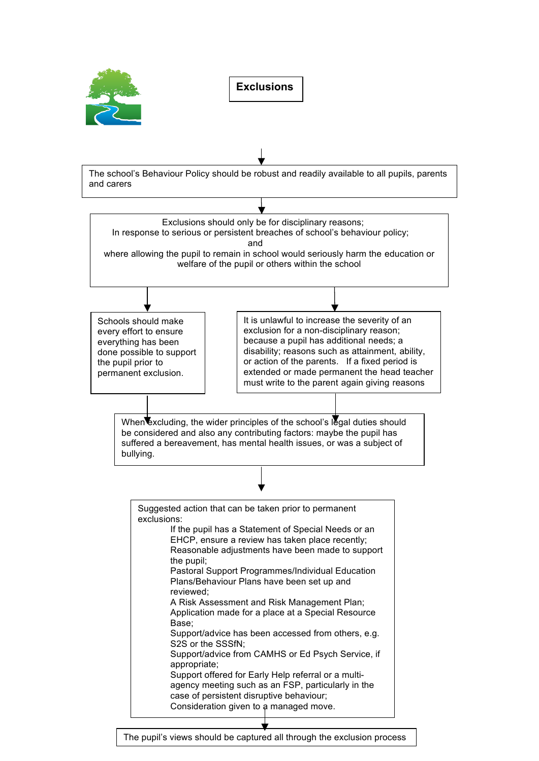